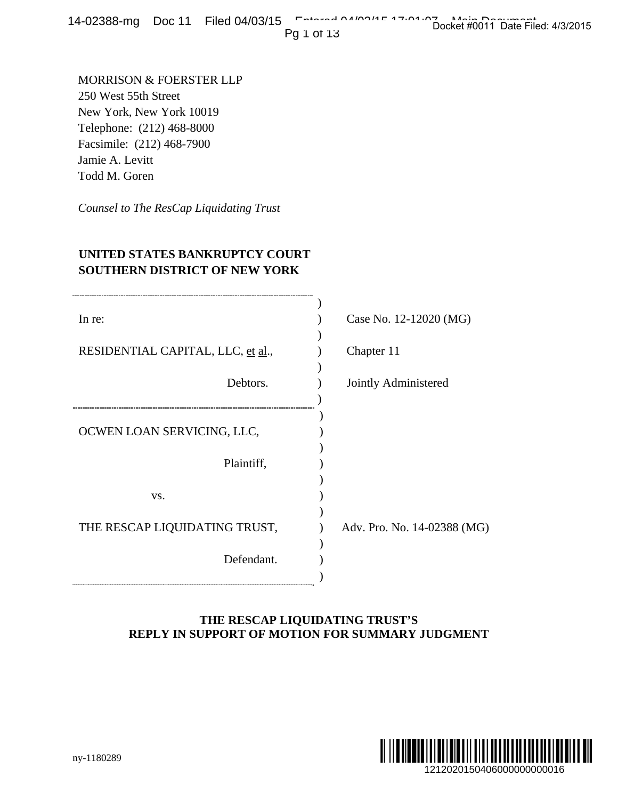14-02388-mg Doc 11 Filed 04/03/15 Entered 04/03/15 Docket #0011 Date Filed: 4/3/2015

## **UNITED STATES BANKRUPTCY COURT SOUTHERN DISTRICT OF NEW YORK**

| $4$ -02300-1119 DUC II Filed 04/03/13                                                                                                                                     | Docket #0011 Date Filed: 4/3/2015<br>Pg 1 of 13                                   |
|---------------------------------------------------------------------------------------------------------------------------------------------------------------------------|-----------------------------------------------------------------------------------|
| MORRISON & FOERSTER LLP<br>250 West 55th Street<br>New York, New York 10019<br>Telephone: (212) 468-8000<br>Facsimile: (212) 468-7900<br>Jamie A. Levitt<br>Todd M. Goren |                                                                                   |
| Counsel to The ResCap Liquidating Trust                                                                                                                                   |                                                                                   |
| UNITED STATES BANKRUPTCY COURT<br>SOUTHERN DISTRICT OF NEW YORK                                                                                                           |                                                                                   |
| In re:                                                                                                                                                                    | Case No. 12-12020 (MG)                                                            |
| RESIDENTIAL CAPITAL, LLC, et al.,                                                                                                                                         | Chapter 11                                                                        |
| Debtors.                                                                                                                                                                  | Jointly Administered                                                              |
| OCWEN LOAN SERVICING, LLC,                                                                                                                                                |                                                                                   |
| Plaintiff,                                                                                                                                                                |                                                                                   |
| VS.                                                                                                                                                                       |                                                                                   |
| THE RESCAP LIQUIDATING TRUST,                                                                                                                                             | Adv. Pro. No. 14-02388 (MG)                                                       |
| Defendant.                                                                                                                                                                |                                                                                   |
|                                                                                                                                                                           | THE RESCAP LIQUIDATING TRUST'S<br>REPLY IN SUPPORT OF MOTION FOR SUMMARY JUDGMENT |
| ny-1180289                                                                                                                                                                | 1212020150406000000000016                                                         |

## **THE RESCAP LIQUIDATING TRUST'S REPLY IN SUPPORT OF MOTION FOR SUMMARY JUDGMENT**

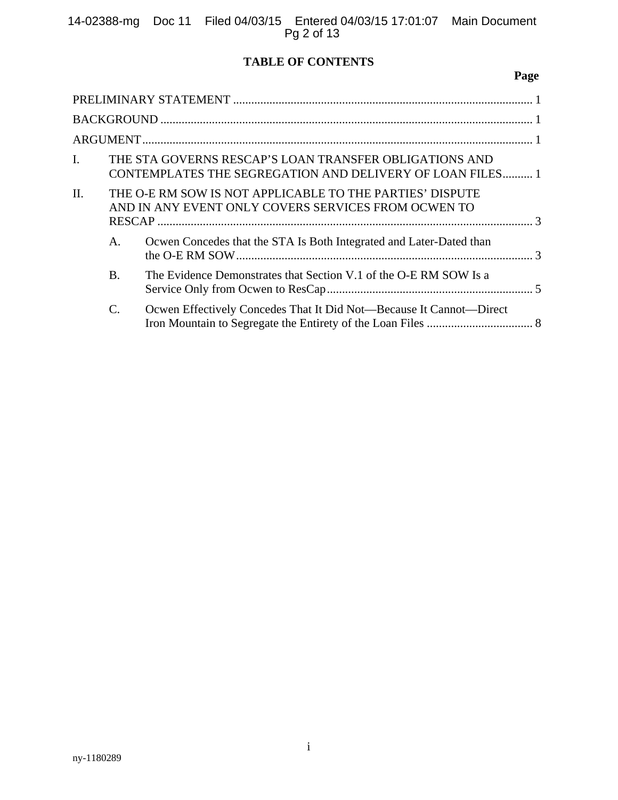# **TABLE OF CONTENTS**

# **Page**

| $\mathbf{I}$ . |           | THE STA GOVERNS RESCAP'S LOAN TRANSFER OBLIGATIONS AND<br>CONTEMPLATES THE SEGREGATION AND DELIVERY OF LOAN FILES 1 |
|----------------|-----------|---------------------------------------------------------------------------------------------------------------------|
| II.            |           | THE O-E RM SOW IS NOT APPLICABLE TO THE PARTIES' DISPUTE<br>AND IN ANY EVENT ONLY COVERS SERVICES FROM OCWEN TO     |
|                | А.        | Ocwen Concedes that the STA Is Both Integrated and Later-Dated than                                                 |
|                | <b>B.</b> | The Evidence Demonstrates that Section V.1 of the O-E RM SOW Is a                                                   |
|                | C.        | Ocwen Effectively Concedes That It Did Not—Because It Cannot—Direct                                                 |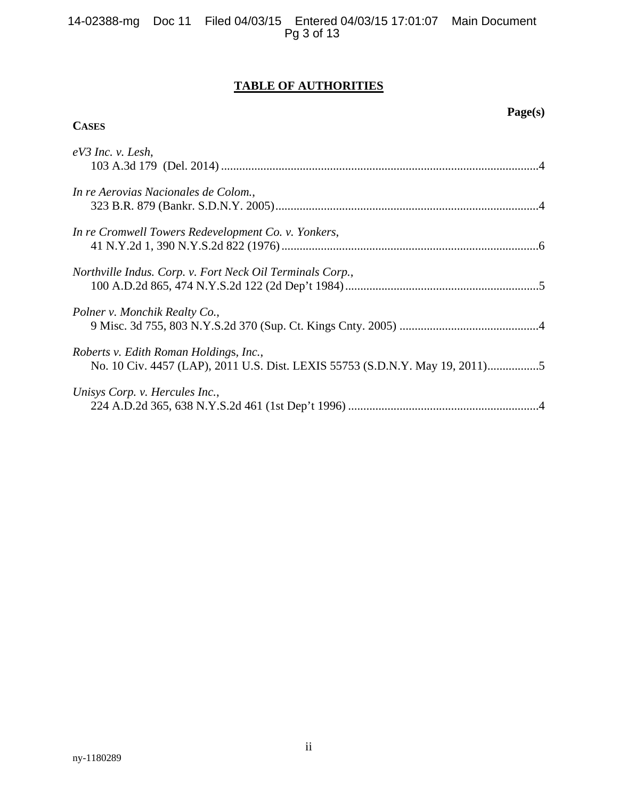## **TABLE OF AUTHORITIES**

## **Page(s)**

## **CASES**

| $eV3$ Inc. v. Lesh,                                       |  |
|-----------------------------------------------------------|--|
| In re Aerovias Nacionales de Colom.,                      |  |
| In re Cromwell Towers Redevelopment Co. v. Yonkers,       |  |
| Northville Indus. Corp. v. Fort Neck Oil Terminals Corp., |  |
| Polner v. Monchik Realty Co.,                             |  |
| Roberts v. Edith Roman Holdings, Inc.,                    |  |
| Unisys Corp. v. Hercules Inc.,                            |  |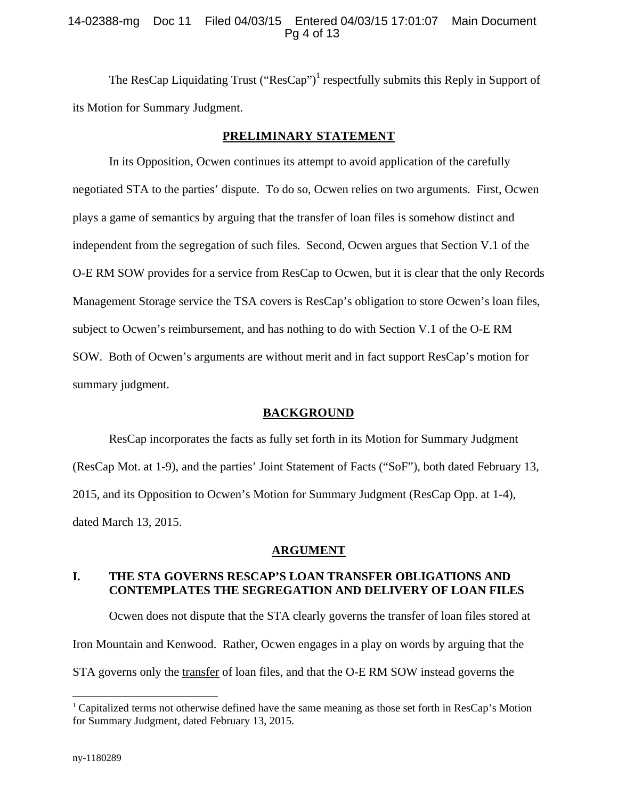### 14-02388-mg Doc 11 Filed 04/03/15 Entered 04/03/15 17:01:07 Main Document Pg 4 of 13

The ResCap Liquidating Trust  $("ResCap")^1$  respectfully submits this Reply in Support of its Motion for Summary Judgment.

#### **PRELIMINARY STATEMENT**

In its Opposition, Ocwen continues its attempt to avoid application of the carefully negotiated STA to the parties' dispute. To do so, Ocwen relies on two arguments. First, Ocwen plays a game of semantics by arguing that the transfer of loan files is somehow distinct and independent from the segregation of such files. Second, Ocwen argues that Section V.1 of the O-E RM SOW provides for a service from ResCap to Ocwen, but it is clear that the only Records Management Storage service the TSA covers is ResCap's obligation to store Ocwen's loan files, subject to Ocwen's reimbursement, and has nothing to do with Section V.1 of the O-E RM SOW. Both of Ocwen's arguments are without merit and in fact support ResCap's motion for summary judgment.

### **BACKGROUND**

ResCap incorporates the facts as fully set forth in its Motion for Summary Judgment (ResCap Mot. at 1-9), and the parties' Joint Statement of Facts ("SoF"), both dated February 13, 2015, and its Opposition to Ocwen's Motion for Summary Judgment (ResCap Opp. at 1-4), dated March 13, 2015.

#### **ARGUMENT**

## **I. THE STA GOVERNS RESCAP'S LOAN TRANSFER OBLIGATIONS AND CONTEMPLATES THE SEGREGATION AND DELIVERY OF LOAN FILES**

Ocwen does not dispute that the STA clearly governs the transfer of loan files stored at Iron Mountain and Kenwood. Rather, Ocwen engages in a play on words by arguing that the STA governs only the transfer of loan files, and that the O-E RM SOW instead governs the

 $\overline{a}$ 

 $1$  Capitalized terms not otherwise defined have the same meaning as those set forth in ResCap's Motion for Summary Judgment, dated February 13, 2015.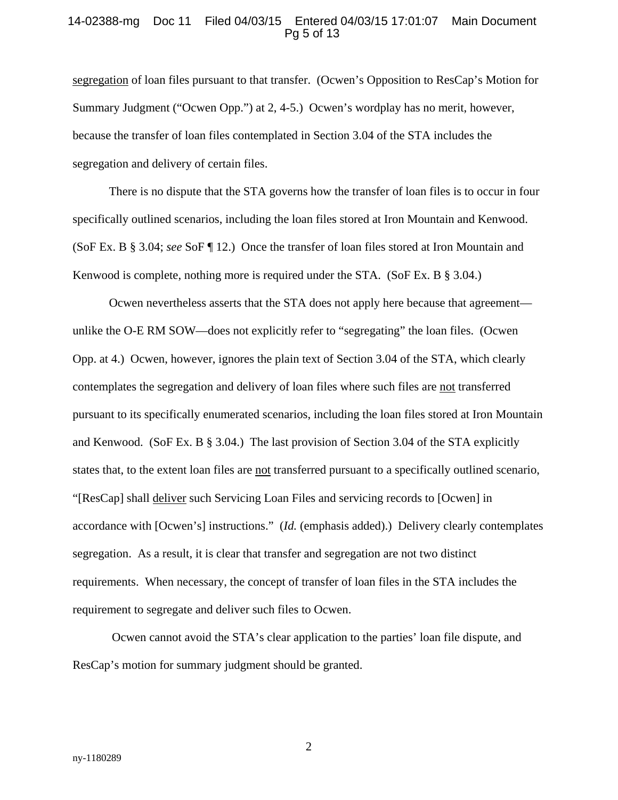#### 14-02388-mg Doc 11 Filed 04/03/15 Entered 04/03/15 17:01:07 Main Document Pg 5 of 13

segregation of loan files pursuant to that transfer. (Ocwen's Opposition to ResCap's Motion for Summary Judgment ("Ocwen Opp.") at 2, 4-5.) Ocwen's wordplay has no merit, however, because the transfer of loan files contemplated in Section 3.04 of the STA includes the segregation and delivery of certain files.

There is no dispute that the STA governs how the transfer of loan files is to occur in four specifically outlined scenarios, including the loan files stored at Iron Mountain and Kenwood. (SoF Ex. B § 3.04; *see* SoF ¶ 12.) Once the transfer of loan files stored at Iron Mountain and Kenwood is complete, nothing more is required under the STA. (SoF Ex. B § 3.04.)

Ocwen nevertheless asserts that the STA does not apply here because that agreement unlike the O-E RM SOW—does not explicitly refer to "segregating" the loan files. (Ocwen Opp. at 4.) Ocwen, however, ignores the plain text of Section 3.04 of the STA, which clearly contemplates the segregation and delivery of loan files where such files are not transferred pursuant to its specifically enumerated scenarios, including the loan files stored at Iron Mountain and Kenwood. (SoF Ex. B § 3.04.) The last provision of Section 3.04 of the STA explicitly states that, to the extent loan files are not transferred pursuant to a specifically outlined scenario, "[ResCap] shall deliver such Servicing Loan Files and servicing records to [Ocwen] in accordance with [Ocwen's] instructions." (*Id.* (emphasis added).) Delivery clearly contemplates segregation. As a result, it is clear that transfer and segregation are not two distinct requirements. When necessary, the concept of transfer of loan files in the STA includes the requirement to segregate and deliver such files to Ocwen.

 Ocwen cannot avoid the STA's clear application to the parties' loan file dispute, and ResCap's motion for summary judgment should be granted.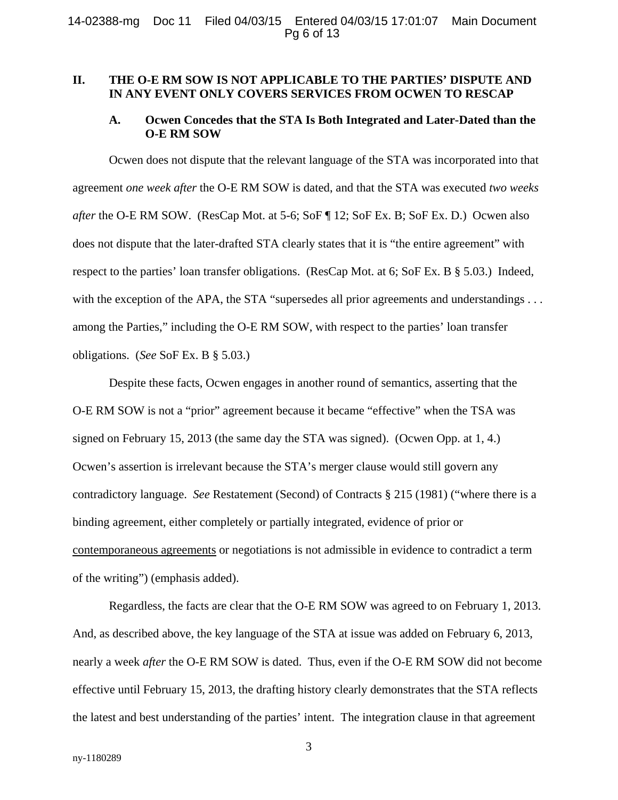### **II. THE O-E RM SOW IS NOT APPLICABLE TO THE PARTIES' DISPUTE AND IN ANY EVENT ONLY COVERS SERVICES FROM OCWEN TO RESCAP**

#### **A. Ocwen Concedes that the STA Is Both Integrated and Later-Dated than the O-E RM SOW**

Ocwen does not dispute that the relevant language of the STA was incorporated into that agreement *one week after* the O-E RM SOW is dated, and that the STA was executed *two weeks after* the O-E RM SOW. (ResCap Mot. at 5-6; SoF ¶ 12; SoF Ex. B; SoF Ex. D.) Ocwen also does not dispute that the later-drafted STA clearly states that it is "the entire agreement" with respect to the parties' loan transfer obligations. (ResCap Mot. at 6; SoF Ex. B § 5.03.) Indeed, with the exception of the APA, the STA "supersedes all prior agreements and understandings . . . among the Parties," including the O-E RM SOW, with respect to the parties' loan transfer obligations. (*See* SoF Ex. B § 5.03.)

Despite these facts, Ocwen engages in another round of semantics, asserting that the O-E RM SOW is not a "prior" agreement because it became "effective" when the TSA was signed on February 15, 2013 (the same day the STA was signed). (Ocwen Opp. at 1, 4.) Ocwen's assertion is irrelevant because the STA's merger clause would still govern any contradictory language. *See* Restatement (Second) of Contracts § 215 (1981) ("where there is a binding agreement, either completely or partially integrated, evidence of prior or contemporaneous agreements or negotiations is not admissible in evidence to contradict a term of the writing") (emphasis added).

Regardless, the facts are clear that the O-E RM SOW was agreed to on February 1, 2013. And, as described above, the key language of the STA at issue was added on February 6, 2013, nearly a week *after* the O-E RM SOW is dated. Thus, even if the O-E RM SOW did not become effective until February 15, 2013, the drafting history clearly demonstrates that the STA reflects the latest and best understanding of the parties' intent. The integration clause in that agreement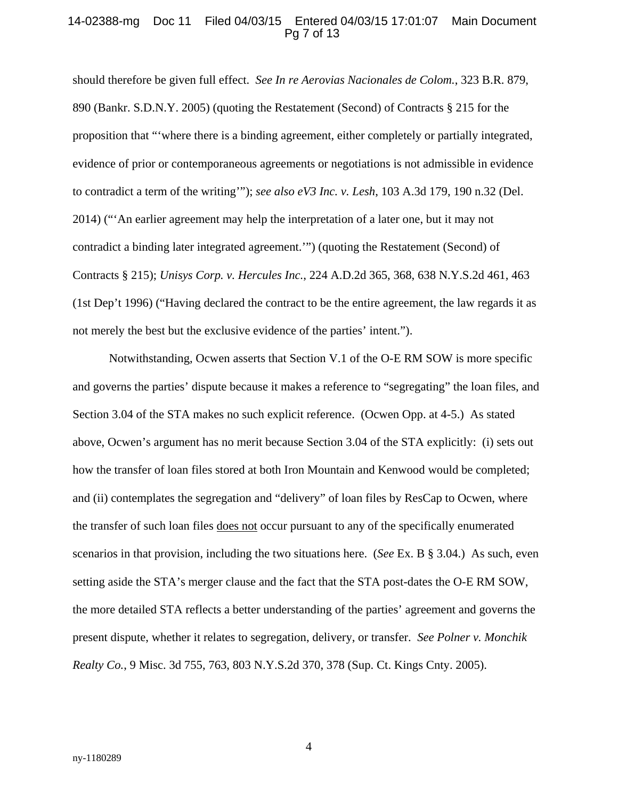#### 14-02388-mg Doc 11 Filed 04/03/15 Entered 04/03/15 17:01:07 Main Document Pg 7 of 13

should therefore be given full effect. *See In re Aerovias Nacionales de Colom.*, 323 B.R. 879, 890 (Bankr. S.D.N.Y. 2005) (quoting the Restatement (Second) of Contracts § 215 for the proposition that "'where there is a binding agreement, either completely or partially integrated, evidence of prior or contemporaneous agreements or negotiations is not admissible in evidence to contradict a term of the writing'"); *see also eV3 Inc. v. Lesh*, 103 A.3d 179, 190 n.32 (Del. 2014) ("'An earlier agreement may help the interpretation of a later one, but it may not contradict a binding later integrated agreement.'") (quoting the Restatement (Second) of Contracts § 215); *Unisys Corp. v. Hercules Inc.*, 224 A.D.2d 365, 368, 638 N.Y.S.2d 461, 463 (1st Dep't 1996) ("Having declared the contract to be the entire agreement, the law regards it as not merely the best but the exclusive evidence of the parties' intent.").

Notwithstanding, Ocwen asserts that Section V.1 of the O-E RM SOW is more specific and governs the parties' dispute because it makes a reference to "segregating" the loan files, and Section 3.04 of the STA makes no such explicit reference. (Ocwen Opp. at 4-5.) As stated above, Ocwen's argument has no merit because Section 3.04 of the STA explicitly: (i) sets out how the transfer of loan files stored at both Iron Mountain and Kenwood would be completed; and (ii) contemplates the segregation and "delivery" of loan files by ResCap to Ocwen, where the transfer of such loan files does not occur pursuant to any of the specifically enumerated scenarios in that provision, including the two situations here. (*See* Ex. B § 3.04.) As such, even setting aside the STA's merger clause and the fact that the STA post-dates the O-E RM SOW, the more detailed STA reflects a better understanding of the parties' agreement and governs the present dispute, whether it relates to segregation, delivery, or transfer. *See Polner v. Monchik Realty Co.*, 9 Misc. 3d 755, 763, 803 N.Y.S.2d 370, 378 (Sup. Ct. Kings Cnty. 2005).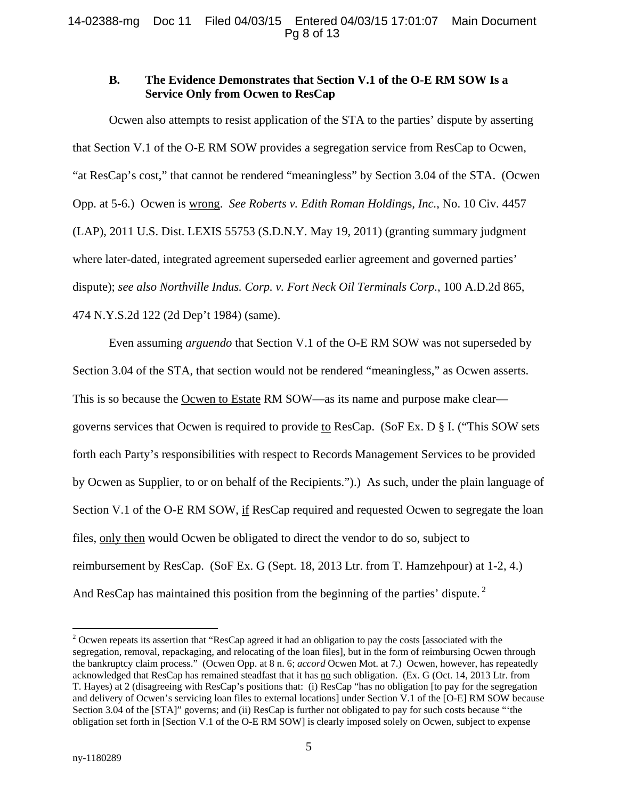### **B. The Evidence Demonstrates that Section V.1 of the O-E RM SOW Is a Service Only from Ocwen to ResCap**

Ocwen also attempts to resist application of the STA to the parties' dispute by asserting that Section V.1 of the O-E RM SOW provides a segregation service from ResCap to Ocwen, "at ResCap's cost," that cannot be rendered "meaningless" by Section 3.04 of the STA. (Ocwen Opp. at 5-6.) Ocwen is wrong. *See Roberts v. Edith Roman Holding*s*, Inc.*, No. 10 Civ. 4457 (LAP), 2011 U.S. Dist. LEXIS 55753 (S.D.N.Y. May 19, 2011) (granting summary judgment where later-dated, integrated agreement superseded earlier agreement and governed parties' dispute); *see also Northville Indus. Corp. v. Fort Neck Oil Terminals Corp.*, 100 A.D.2d 865, 474 N.Y.S.2d 122 (2d Dep't 1984) (same).

Even assuming *arguendo* that Section V.1 of the O-E RM SOW was not superseded by Section 3.04 of the STA, that section would not be rendered "meaningless," as Ocwen asserts. This is so because the <u>Ocwen to Estate</u> RM SOW—as its name and purpose make clear governs services that Ocwen is required to provide to ResCap. (SoF Ex. D § I. ("This SOW sets forth each Party's responsibilities with respect to Records Management Services to be provided by Ocwen as Supplier, to or on behalf of the Recipients.").) As such, under the plain language of Section V.1 of the O-E RM SOW, if ResCap required and requested Ocwen to segregate the loan files, only then would Ocwen be obligated to direct the vendor to do so, subject to reimbursement by ResCap. (SoF Ex. G (Sept. 18, 2013 Ltr. from T. Hamzehpour) at 1-2, 4.) And ResCap has maintained this position from the beginning of the parties' dispute.<sup>2</sup>

 $\overline{a}$ 

 $2$  Ocwen repeats its assertion that "ResCap agreed it had an obligation to pay the costs [associated with the segregation, removal, repackaging, and relocating of the loan files], but in the form of reimbursing Ocwen through the bankruptcy claim process." (Ocwen Opp. at 8 n. 6; *accord* Ocwen Mot. at 7.) Ocwen, however, has repeatedly acknowledged that ResCap has remained steadfast that it has no such obligation. (Ex. G (Oct. 14, 2013 Ltr. from T. Hayes) at 2 (disagreeing with ResCap's positions that: (i) ResCap "has no obligation [to pay for the segregation and delivery of Ocwen's servicing loan files to external locations] under Section V.1 of the [O-E] RM SOW because Section 3.04 of the [STA]" governs; and (ii) ResCap is further not obligated to pay for such costs because "'the obligation set forth in [Section V.1 of the O-E RM SOW] is clearly imposed solely on Ocwen, subject to expense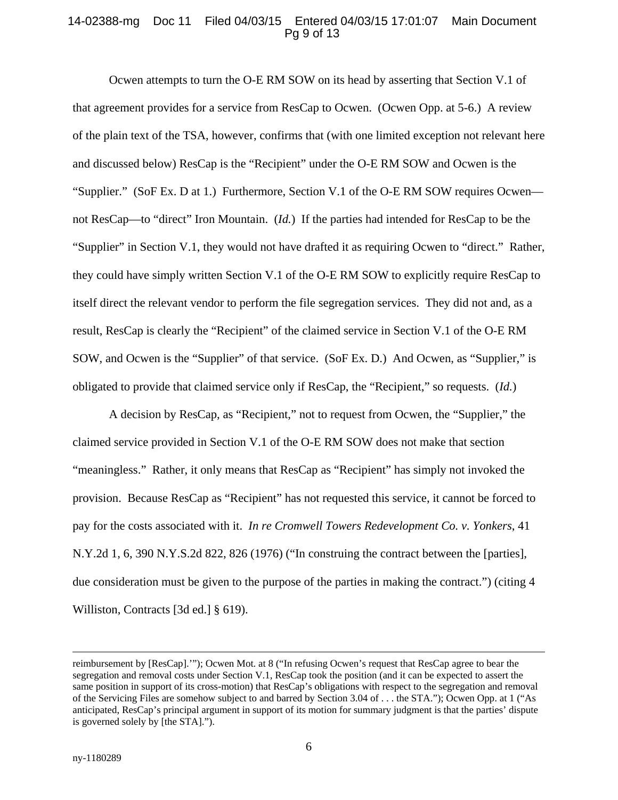#### 14-02388-mg Doc 11 Filed 04/03/15 Entered 04/03/15 17:01:07 Main Document Pg 9 of 13

Ocwen attempts to turn the O-E RM SOW on its head by asserting that Section V.1 of that agreement provides for a service from ResCap to Ocwen. (Ocwen Opp. at 5-6.) A review of the plain text of the TSA, however, confirms that (with one limited exception not relevant here and discussed below) ResCap is the "Recipient" under the O-E RM SOW and Ocwen is the "Supplier." (SoF Ex. D at 1.) Furthermore, Section V.1 of the O-E RM SOW requires Ocwen not ResCap—to "direct" Iron Mountain. (*Id.*) If the parties had intended for ResCap to be the "Supplier" in Section V.1, they would not have drafted it as requiring Ocwen to "direct." Rather, they could have simply written Section V.1 of the O-E RM SOW to explicitly require ResCap to itself direct the relevant vendor to perform the file segregation services. They did not and, as a result, ResCap is clearly the "Recipient" of the claimed service in Section V.1 of the O-E RM SOW, and Ocwen is the "Supplier" of that service. (SoF Ex. D.) And Ocwen, as "Supplier," is obligated to provide that claimed service only if ResCap, the "Recipient," so requests. (*Id.*)

A decision by ResCap, as "Recipient," not to request from Ocwen, the "Supplier," the claimed service provided in Section V.1 of the O-E RM SOW does not make that section "meaningless." Rather, it only means that ResCap as "Recipient" has simply not invoked the provision. Because ResCap as "Recipient" has not requested this service, it cannot be forced to pay for the costs associated with it. *In re Cromwell Towers Redevelopment Co. v. Yonkers*, 41 N.Y.2d 1, 6, 390 N.Y.S.2d 822, 826 (1976) ("In construing the contract between the [parties], due consideration must be given to the purpose of the parties in making the contract.") (citing 4 Williston, Contracts [3d ed.] § 619).

reimbursement by [ResCap].'"); Ocwen Mot. at 8 ("In refusing Ocwen's request that ResCap agree to bear the segregation and removal costs under Section V.1, ResCap took the position (and it can be expected to assert the same position in support of its cross-motion) that ResCap's obligations with respect to the segregation and removal of the Servicing Files are somehow subject to and barred by Section 3.04 of . . . the STA."); Ocwen Opp. at 1 ("As anticipated, ResCap's principal argument in support of its motion for summary judgment is that the parties' dispute is governed solely by [the STA].").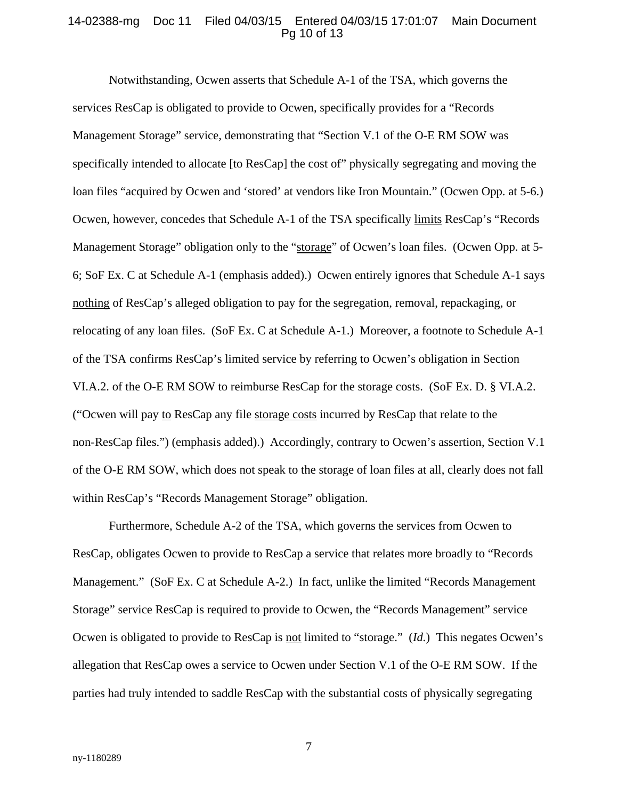#### 14-02388-mg Doc 11 Filed 04/03/15 Entered 04/03/15 17:01:07 Main Document Pg 10 of 13

Notwithstanding, Ocwen asserts that Schedule A-1 of the TSA, which governs the services ResCap is obligated to provide to Ocwen, specifically provides for a "Records Management Storage" service, demonstrating that "Section V.1 of the O-E RM SOW was specifically intended to allocate [to ResCap] the cost of" physically segregating and moving the loan files "acquired by Ocwen and 'stored' at vendors like Iron Mountain." (Ocwen Opp. at 5-6.) Ocwen, however, concedes that Schedule A-1 of the TSA specifically limits ResCap's "Records Management Storage" obligation only to the "storage" of Ocwen's loan files. (Ocwen Opp. at 5- 6; SoF Ex. C at Schedule A-1 (emphasis added).) Ocwen entirely ignores that Schedule A-1 says nothing of ResCap's alleged obligation to pay for the segregation, removal, repackaging, or relocating of any loan files. (SoF Ex. C at Schedule A-1.) Moreover, a footnote to Schedule A-1 of the TSA confirms ResCap's limited service by referring to Ocwen's obligation in Section VI.A.2. of the O-E RM SOW to reimburse ResCap for the storage costs. (SoF Ex. D. § VI.A.2. ("Ocwen will pay to ResCap any file storage costs incurred by ResCap that relate to the non-ResCap files.") (emphasis added).) Accordingly, contrary to Ocwen's assertion, Section V.1 of the O-E RM SOW, which does not speak to the storage of loan files at all, clearly does not fall within ResCap's "Records Management Storage" obligation.

Furthermore, Schedule A-2 of the TSA, which governs the services from Ocwen to ResCap, obligates Ocwen to provide to ResCap a service that relates more broadly to "Records Management." (SoF Ex. C at Schedule A-2.) In fact, unlike the limited "Records Management Storage" service ResCap is required to provide to Ocwen, the "Records Management" service Ocwen is obligated to provide to ResCap is not limited to "storage." (*Id.*) This negates Ocwen's allegation that ResCap owes a service to Ocwen under Section V.1 of the O-E RM SOW. If the parties had truly intended to saddle ResCap with the substantial costs of physically segregating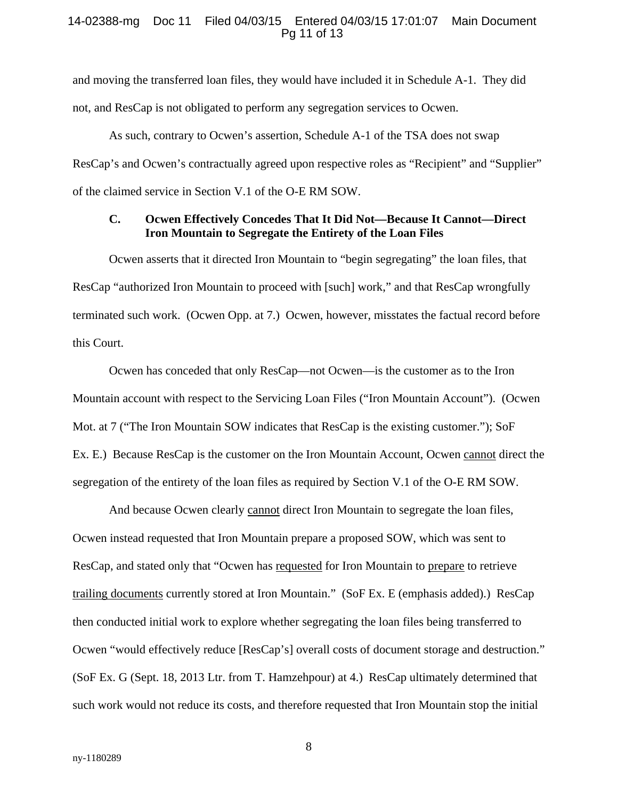#### 14-02388-mg Doc 11 Filed 04/03/15 Entered 04/03/15 17:01:07 Main Document Pg 11 of 13

and moving the transferred loan files, they would have included it in Schedule A-1. They did not, and ResCap is not obligated to perform any segregation services to Ocwen.

As such, contrary to Ocwen's assertion, Schedule A-1 of the TSA does not swap ResCap's and Ocwen's contractually agreed upon respective roles as "Recipient" and "Supplier" of the claimed service in Section V.1 of the O-E RM SOW.

## **C. Ocwen Effectively Concedes That It Did Not—Because It Cannot—Direct Iron Mountain to Segregate the Entirety of the Loan Files**

Ocwen asserts that it directed Iron Mountain to "begin segregating" the loan files, that ResCap "authorized Iron Mountain to proceed with [such] work," and that ResCap wrongfully terminated such work. (Ocwen Opp. at 7.) Ocwen, however, misstates the factual record before this Court.

Ocwen has conceded that only ResCap—not Ocwen—is the customer as to the Iron Mountain account with respect to the Servicing Loan Files ("Iron Mountain Account"). (Ocwen Mot. at 7 ("The Iron Mountain SOW indicates that ResCap is the existing customer."); SoF Ex. E.) Because ResCap is the customer on the Iron Mountain Account, Ocwen cannot direct the segregation of the entirety of the loan files as required by Section V.1 of the O-E RM SOW.

And because Ocwen clearly cannot direct Iron Mountain to segregate the loan files, Ocwen instead requested that Iron Mountain prepare a proposed SOW, which was sent to ResCap, and stated only that "Ocwen has requested for Iron Mountain to prepare to retrieve trailing documents currently stored at Iron Mountain." (SoF Ex. E (emphasis added).) ResCap then conducted initial work to explore whether segregating the loan files being transferred to Ocwen "would effectively reduce [ResCap's] overall costs of document storage and destruction." (SoF Ex. G (Sept. 18, 2013 Ltr. from T. Hamzehpour) at 4.) ResCap ultimately determined that such work would not reduce its costs, and therefore requested that Iron Mountain stop the initial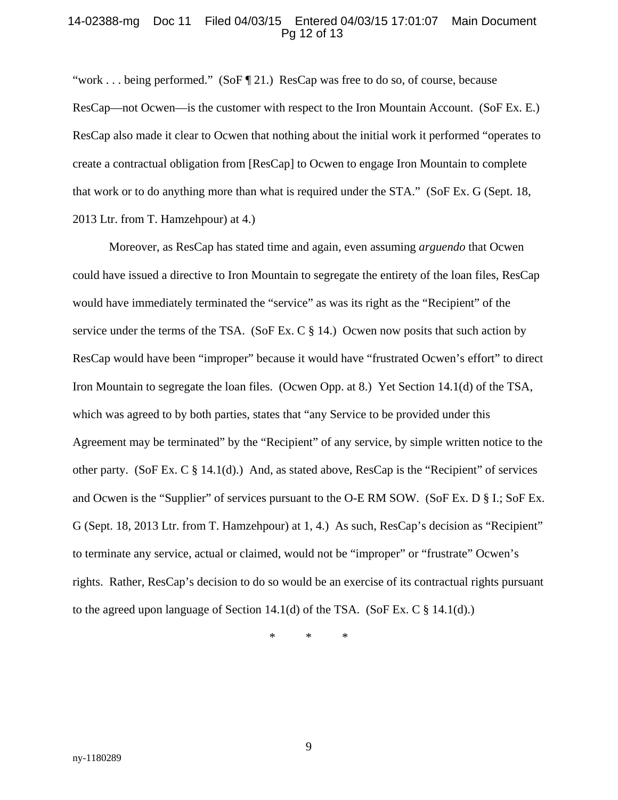#### 14-02388-mg Doc 11 Filed 04/03/15 Entered 04/03/15 17:01:07 Main Document Pg 12 of 13

"work . . . being performed." (SoF  $\P$  21.) ResCap was free to do so, of course, because ResCap—not Ocwen—is the customer with respect to the Iron Mountain Account. (SoF Ex. E.) ResCap also made it clear to Ocwen that nothing about the initial work it performed "operates to create a contractual obligation from [ResCap] to Ocwen to engage Iron Mountain to complete that work or to do anything more than what is required under the STA." (SoF Ex. G (Sept. 18, 2013 Ltr. from T. Hamzehpour) at 4.)

Moreover, as ResCap has stated time and again, even assuming *arguendo* that Ocwen could have issued a directive to Iron Mountain to segregate the entirety of the loan files, ResCap would have immediately terminated the "service" as was its right as the "Recipient" of the service under the terms of the TSA. (SoF Ex. C  $\S$  14.) Ocwen now posits that such action by ResCap would have been "improper" because it would have "frustrated Ocwen's effort" to direct Iron Mountain to segregate the loan files. (Ocwen Opp. at 8.) Yet Section 14.1(d) of the TSA, which was agreed to by both parties, states that "any Service to be provided under this Agreement may be terminated" by the "Recipient" of any service, by simple written notice to the other party. (SoF Ex. C  $\S$  14.1(d).) And, as stated above, ResCap is the "Recipient" of services and Ocwen is the "Supplier" of services pursuant to the O-E RM SOW. (SoF Ex. D § I.; SoF Ex. G (Sept. 18, 2013 Ltr. from T. Hamzehpour) at 1, 4.) As such, ResCap's decision as "Recipient" to terminate any service, actual or claimed, would not be "improper" or "frustrate" Ocwen's rights. Rather, ResCap's decision to do so would be an exercise of its contractual rights pursuant to the agreed upon language of Section 14.1(d) of the TSA. (SoF Ex. C § 14.1(d).)

\* \* \*